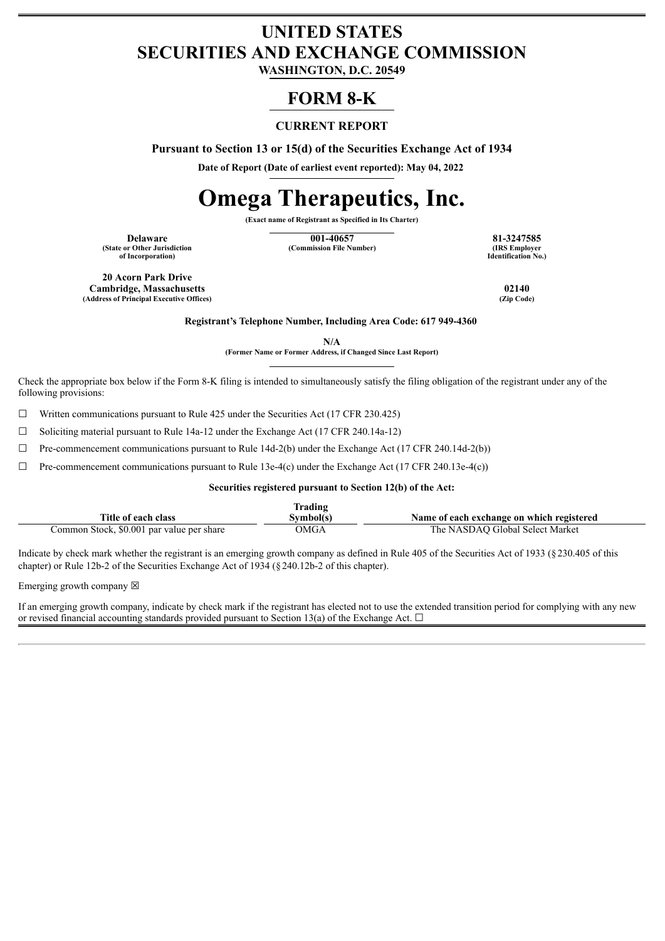# **UNITED STATES SECURITIES AND EXCHANGE COMMISSION**

**WASHINGTON, D.C. 20549**

## **FORM 8-K**

## **CURRENT REPORT**

**Pursuant to Section 13 or 15(d) of the Securities Exchange Act of 1934**

**Date of Report (Date of earliest event reported): May 04, 2022**

# **Omega Therapeutics, Inc.**

**(Exact name of Registrant as Specified in Its Charter)**

**(State or Other Jurisdiction of Incorporation)**

**Delaware 81-3247585**<br> **1001-40657 81-3247585**<br> **1001-40657 1001-40657 81-3247585**<br> **1001-40657 1001-40657 1001-40657 1001-40657 (Commission File Number)** 

**Identification No.)**

**20 Acorn Park Drive Cambridge, Massachusetts 02140 (Address of Principal Executive Offices)** 

**Registrant's Telephone Number, Including Area Code: 617 949-4360**

**N/A**

**(Former Name or Former Address, if Changed Since Last Report)**

Check the appropriate box below if the Form 8-K filing is intended to simultaneously satisfy the filing obligation of the registrant under any of the following provisions:

 $\Box$  Written communications pursuant to Rule 425 under the Securities Act (17 CFR 230.425)

☐ Soliciting material pursuant to Rule 14a-12 under the Exchange Act (17 CFR 240.14a-12)

 $\Box$  Pre-commencement communications pursuant to Rule 14d-2(b) under the Exchange Act (17 CFR 240.14d-2(b))

 $\Box$  Pre-commencement communications pursuant to Rule 13e-4(c) under the Exchange Act (17 CFR 240.13e-4(c))

## **Securities registered pursuant to Section 12(b) of the Act:**

|                                           | Trading  |                                           |
|-------------------------------------------|----------|-------------------------------------------|
| Title of each class                       | Svmbol(s | Name of each exchange on which registered |
| Common Stock, \$0.001 par value per share | OMGA     | The NASDAO Global Select Market           |

Indicate by check mark whether the registrant is an emerging growth company as defined in Rule 405 of the Securities Act of 1933 (§230.405 of this chapter) or Rule 12b-2 of the Securities Exchange Act of 1934 (§240.12b-2 of this chapter).

Emerging growth company  $\boxtimes$ 

If an emerging growth company, indicate by check mark if the registrant has elected not to use the extended transition period for complying with any new or revised financial accounting standards provided pursuant to Section 13(a) of the Exchange Act.  $\Box$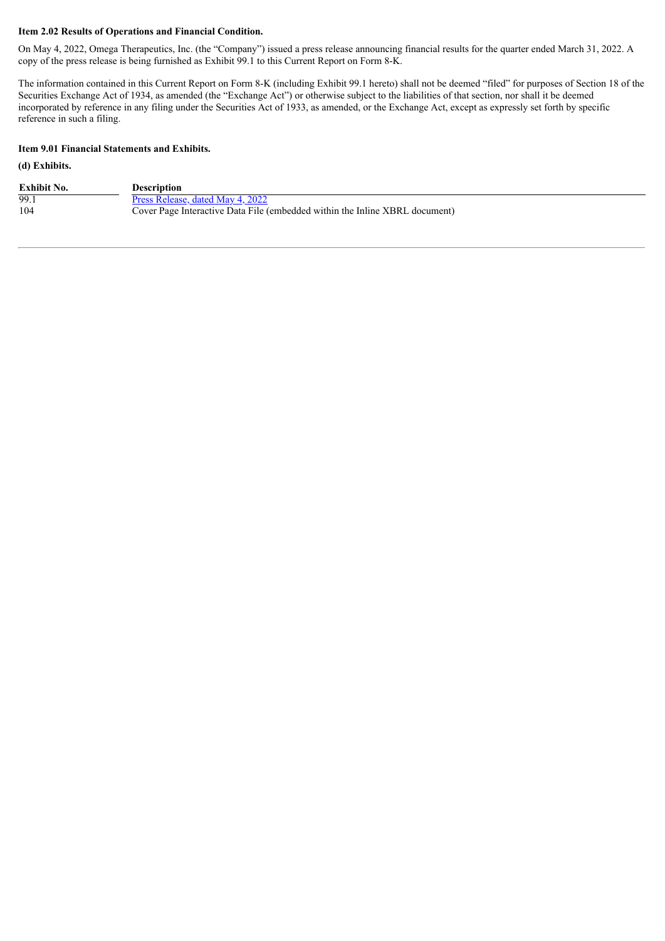### **Item 2.02 Results of Operations and Financial Condition.**

On May 4, 2022, Omega Therapeutics, Inc. (the "Company") issued a press release announcing financial results for the quarter ended March 31, 2022. A copy of the press release is being furnished as Exhibit 99.1 to this Current Report on Form 8-K.

The information contained in this Current Report on Form 8-K (including Exhibit 99.1 hereto) shall not be deemed "filed" for purposes of Section 18 of the Securities Exchange Act of 1934, as amended (the "Exchange Act") or otherwise subject to the liabilities of that section, nor shall it be deemed incorporated by reference in any filing under the Securities Act of 1933, as amended, or the Exchange Act, except as expressly set forth by specific reference in such a filing.

## **Item 9.01 Financial Statements and Exhibits.**

## **(d) Exhibits.**

| <b>Exhibit No.</b> | Description                                                                 |
|--------------------|-----------------------------------------------------------------------------|
| 99.1               | Press Release, dated May 4, 2022                                            |
| 104                | Cover Page Interactive Data File (embedded within the Inline XBRL document) |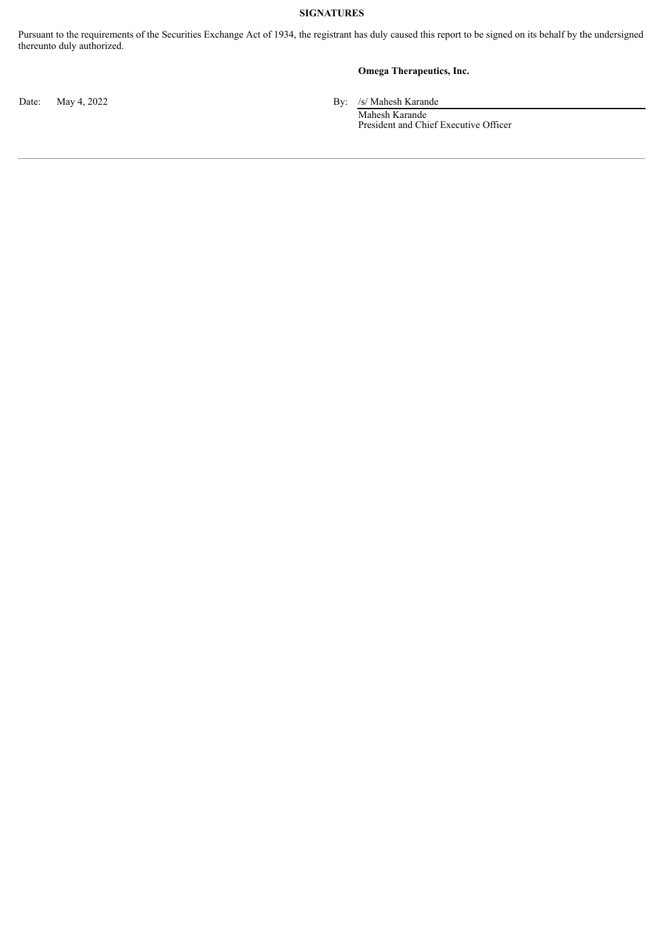## **SIGNATURES**

Pursuant to the requirements of the Securities Exchange Act of 1934, the registrant has duly caused this report to be signed on its behalf by the undersigned thereunto duly authorized.

## **Omega Therapeutics, Inc.**

Date: May 4, 2022 By: /s/ Mahesh Karande

Mahesh Karande President and Chief Executive Officer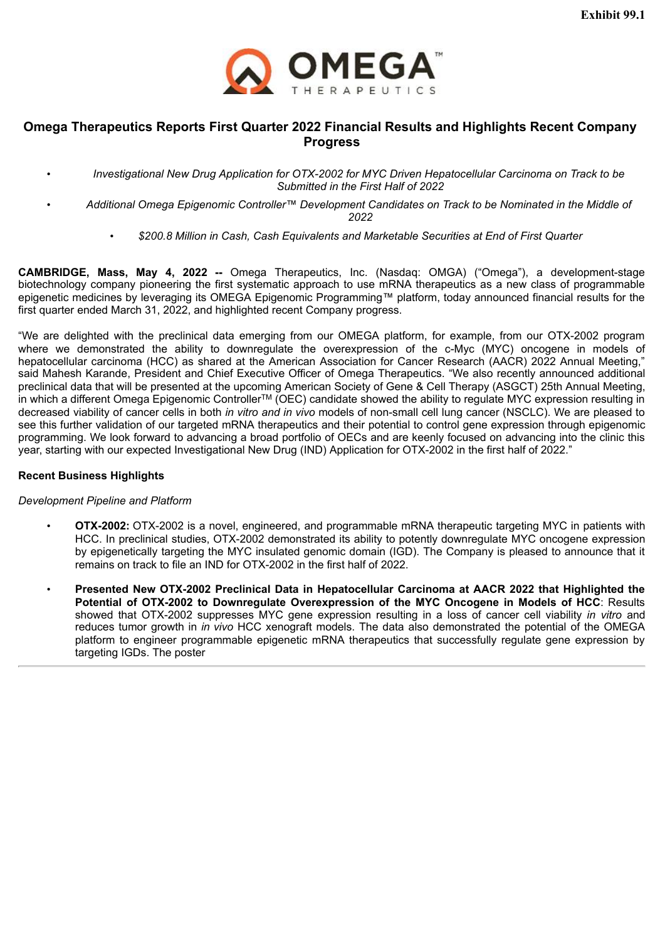

## <span id="page-3-0"></span>**Omega Therapeutics Reports First Quarter 2022 Financial Results and Highlights Recent Company Progress**

- *Investigational New Drug Application for OTX-2002 for MYC Driven Hepatocellular Carcinoma on Track to be Submitted in the First Half of 2022*
- *Additional Omega Epigenomic Controller™ Development Candidates on Track to be Nominated in the Middle of 2022*
	- *\$200.8 Million in Cash, Cash Equivalents and Marketable Securities at End of First Quarter*

**CAMBRIDGE, Mass, May 4, 2022 --** Omega Therapeutics, Inc. (Nasdaq: OMGA) ("Omega"), a development-stage biotechnology company pioneering the first systematic approach to use mRNA therapeutics as a new class of programmable epigenetic medicines by leveraging its OMEGA Epigenomic Programming™ platform, today announced financial results for the first quarter ended March 31, 2022, and highlighted recent Company progress.

"We are delighted with the preclinical data emerging from our OMEGA platform, for example, from our OTX-2002 program where we demonstrated the ability to downregulate the overexpression of the c-Myc (MYC) oncogene in models of hepatocellular carcinoma (HCC) as shared at the American Association for Cancer Research (AACR) 2022 Annual Meeting," said Mahesh Karande, President and Chief Executive Officer of Omega Therapeutics. "We also recently announced additional preclinical data that will be presented at the upcoming American Society of Gene & Cell Therapy (ASGCT) 25th Annual Meeting, in which a different Omega Epigenomic Controller™ (OEC) candidate showed the ability to regulate MYC expression resulting in decreased viability of cancer cells in both *in vitro and in vivo* models of non-small cell lung cancer (NSCLC). We are pleased to see this further validation of our targeted mRNA therapeutics and their potential to control gene expression through epigenomic programming. We look forward to advancing a broad portfolio of OECs and are keenly focused on advancing into the clinic this year, starting with our expected Investigational New Drug (IND) Application for OTX-2002 in the first half of 2022."

## **Recent Business Highlights**

## *Development Pipeline and Platform*

- **OTX-2002:** OTX-2002 is a novel, engineered, and programmable mRNA therapeutic targeting MYC in patients with HCC. In preclinical studies, OTX-2002 demonstrated its ability to potently downregulate MYC oncogene expression by epigenetically targeting the MYC insulated genomic domain (IGD). The Company is pleased to announce that it remains on track to file an IND for OTX-2002 in the first half of 2022.
- **Presented New OTX-2002 Preclinical Data in Hepatocellular Carcinoma at AACR 2022 that Highlighted the Potential of OTX-2002 to Downregulate Overexpression of the MYC Oncogene in Models of HCC**: Results showed that OTX-2002 suppresses MYC gene expression resulting in a loss of cancer cell viability *in vitro* and reduces tumor growth in *in vivo* HCC xenograft models. The data also demonstrated the potential of the OMEGA platform to engineer programmable epigenetic mRNA therapeutics that successfully regulate gene expression by targeting IGDs. The poster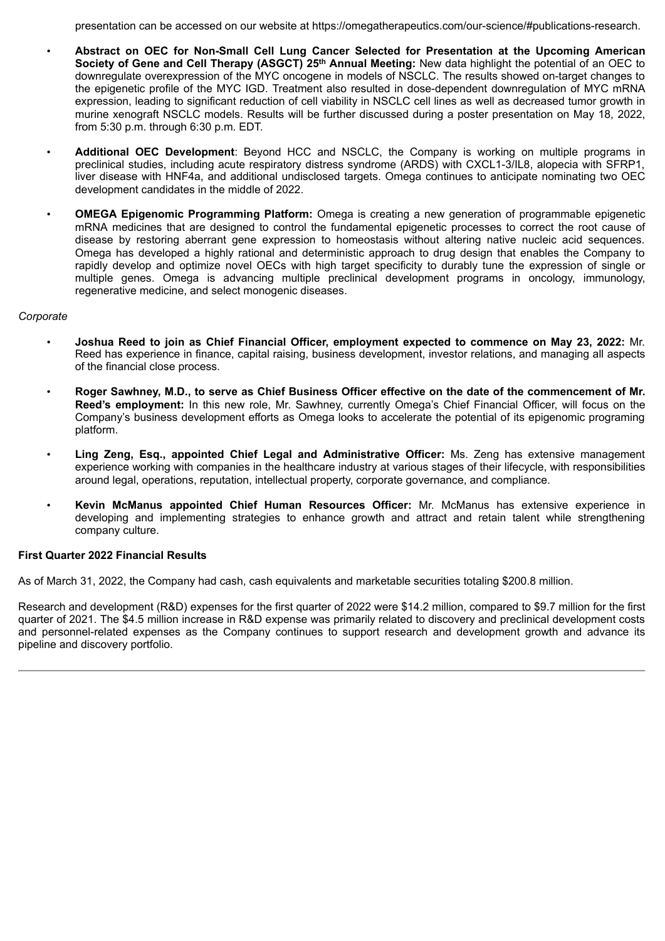presentation can be accessed on our website at https://omegatherapeutics.com/our-science/#publications-research.

- **Abstract on OEC for Non-Small Cell Lung Cancer Selected for Presentation at the Upcoming American Society of Gene and Cell Therapy (ASGCT) 25th Annual Meeting:** New data highlight the potential of an OEC to downregulate overexpression of the MYC oncogene in models of NSCLC. The results showed on-target changes to the epigenetic profile of the MYC IGD. Treatment also resulted in dose-dependent downregulation of MYC mRNA expression, leading to significant reduction of cell viability in NSCLC cell lines as well as decreased tumor growth in murine xenograft NSCLC models. Results will be further discussed during a poster presentation on May 18, 2022, from 5:30 p.m. through 6:30 p.m. EDT.
- **Additional OEC Development**: Beyond HCC and NSCLC, the Company is working on multiple programs in preclinical studies, including acute respiratory distress syndrome (ARDS) with CXCL1-3/IL8, alopecia with SFRP1, liver disease with HNF4a, and additional undisclosed targets. Omega continues to anticipate nominating two OEC development candidates in the middle of 2022.
- **OMEGA Epigenomic Programming Platform:** Omega is creating a new generation of programmable epigenetic mRNA medicines that are designed to control the fundamental epigenetic processes to correct the root cause of disease by restoring aberrant gene expression to homeostasis without altering native nucleic acid sequences. Omega has developed a highly rational and deterministic approach to drug design that enables the Company to rapidly develop and optimize novel OECs with high target specificity to durably tune the expression of single or multiple genes. Omega is advancing multiple preclinical development programs in oncology, immunology, regenerative medicine, and select monogenic diseases.

## *Corporate*

- **Joshua Reed to join as Chief Financial Officer, employment expected to commence on May 23, 2022:** Mr. Reed has experience in finance, capital raising, business development, investor relations, and managing all aspects of the financial close process.
- Roger Sawhney, M.D., to serve as Chief Business Officer effective on the date of the commencement of Mr. **Reed's employment:** In this new role, Mr. Sawhney, currently Omega's Chief Financial Officer, will focus on the Company's business development efforts as Omega looks to accelerate the potential of its epigenomic programing platform.
- **Ling Zeng, Esq., appointed Chief Legal and Administrative Officer:** Ms. Zeng has extensive management experience working with companies in the healthcare industry at various stages of their lifecycle, with responsibilities around legal, operations, reputation, intellectual property, corporate governance, and compliance.
- **Kevin McManus appointed Chief Human Resources Officer:** Mr. McManus has extensive experience in developing and implementing strategies to enhance growth and attract and retain talent while strengthening company culture.

## **First Quarter 2022 Financial Results**

As of March 31, 2022, the Company had cash, cash equivalents and marketable securities totaling \$200.8 million.

Research and development (R&D) expenses for the first quarter of 2022 were \$14.2 million, compared to \$9.7 million for the first quarter of 2021. The \$4.5 million increase in R&D expense was primarily related to discovery and preclinical development costs and personnel-related expenses as the Company continues to support research and development growth and advance its pipeline and discovery portfolio.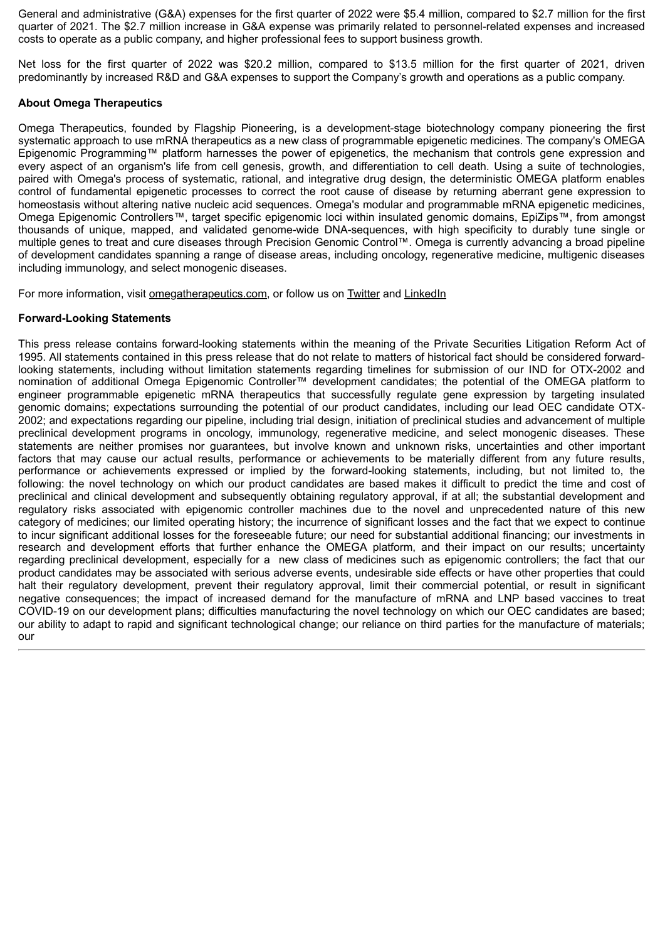General and administrative (G&A) expenses for the first quarter of 2022 were \$5.4 million, compared to \$2.7 million for the first quarter of 2021. The \$2.7 million increase in G&A expense was primarily related to personnel-related expenses and increased costs to operate as a public company, and higher professional fees to support business growth.

Net loss for the first quarter of 2022 was \$20.2 million, compared to \$13.5 million for the first quarter of 2021, driven predominantly by increased R&D and G&A expenses to support the Company's growth and operations as a public company.

## **About Omega Therapeutics**

Omega Therapeutics, founded by Flagship Pioneering, is a development-stage biotechnology company pioneering the first systematic approach to use mRNA therapeutics as a new class of programmable epigenetic medicines. The company's OMEGA Epigenomic Programming™ platform harnesses the power of epigenetics, the mechanism that controls gene expression and every aspect of an organism's life from cell genesis, growth, and differentiation to cell death. Using a suite of technologies, paired with Omega's process of systematic, rational, and integrative drug design, the deterministic OMEGA platform enables control of fundamental epigenetic processes to correct the root cause of disease by returning aberrant gene expression to homeostasis without altering native nucleic acid sequences. Omega's modular and programmable mRNA epigenetic medicines, Omega Epigenomic Controllers™, target specific epigenomic loci within insulated genomic domains, EpiZips™, from amongst thousands of unique, mapped, and validated genome-wide DNA-sequences, with high specificity to durably tune single or multiple genes to treat and cure diseases through Precision Genomic Control™. Omega is currently advancing a broad pipeline of development candidates spanning a range of disease areas, including oncology, regenerative medicine, multigenic diseases including immunology, and select monogenic diseases.

For more information, visit omegatherapeutics.com, or follow us on Twitter and LinkedIn

## **Forward-Looking Statements**

This press release contains forward-looking statements within the meaning of the Private Securities Litigation Reform Act of 1995. All statements contained in this press release that do not relate to matters of historical fact should be considered forwardlooking statements, including without limitation statements regarding timelines for submission of our IND for OTX-2002 and nomination of additional Omega Epigenomic Controller™ development candidates; the potential of the OMEGA platform to engineer programmable epigenetic mRNA therapeutics that successfully regulate gene expression by targeting insulated genomic domains; expectations surrounding the potential of our product candidates, including our lead OEC candidate OTX-2002; and expectations regarding our pipeline, including trial design, initiation of preclinical studies and advancement of multiple preclinical development programs in oncology, immunology, regenerative medicine, and select monogenic diseases. These statements are neither promises nor guarantees, but involve known and unknown risks, uncertainties and other important factors that may cause our actual results, performance or achievements to be materially different from any future results, performance or achievements expressed or implied by the forward-looking statements, including, but not limited to, the following: the novel technology on which our product candidates are based makes it difficult to predict the time and cost of preclinical and clinical development and subsequently obtaining regulatory approval, if at all; the substantial development and regulatory risks associated with epigenomic controller machines due to the novel and unprecedented nature of this new category of medicines; our limited operating history; the incurrence of significant losses and the fact that we expect to continue to incur significant additional losses for the foreseeable future; our need for substantial additional financing; our investments in research and development efforts that further enhance the OMEGA platform, and their impact on our results; uncertainty regarding preclinical development, especially for a new class of medicines such as epigenomic controllers; the fact that our product candidates may be associated with serious adverse events, undesirable side effects or have other properties that could halt their regulatory development, prevent their regulatory approval, limit their commercial potential, or result in significant negative consequences; the impact of increased demand for the manufacture of mRNA and LNP based vaccines to treat COVID-19 on our development plans; difficulties manufacturing the novel technology on which our OEC candidates are based; our ability to adapt to rapid and significant technological change; our reliance on third parties for the manufacture of materials; our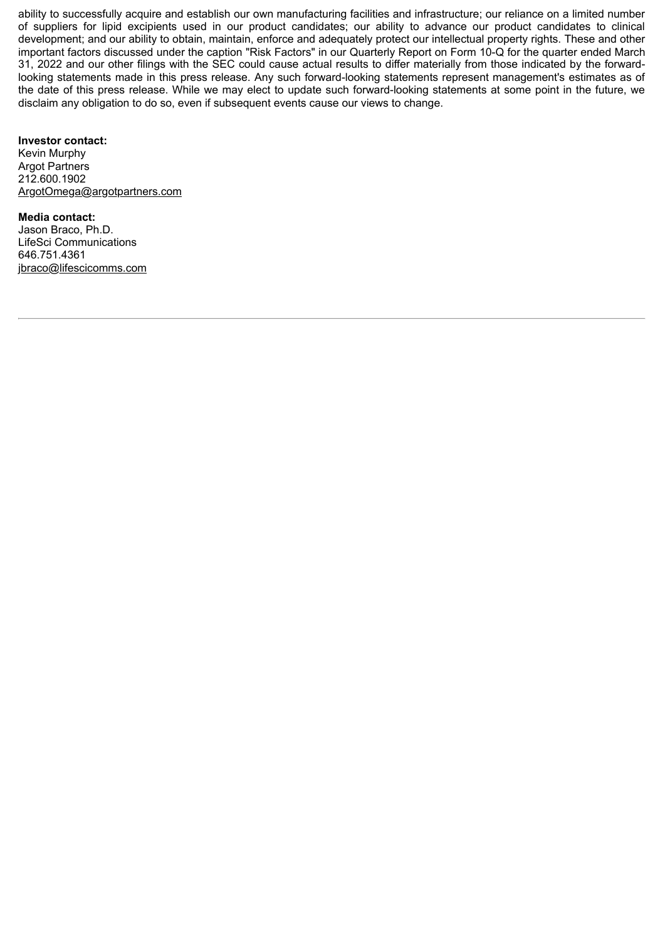ability to successfully acquire and establish our own manufacturing facilities and infrastructure; our reliance on a limited number of suppliers for lipid excipients used in our product candidates; our ability to advance our product candidates to clinical development; and our ability to obtain, maintain, enforce and adequately protect our intellectual property rights. These and other important factors discussed under the caption "Risk Factors" in our Quarterly Report on Form 10-Q for the quarter ended March 31, 2022 and our other filings with the SEC could cause actual results to differ materially from those indicated by the forwardlooking statements made in this press release. Any such forward-looking statements represent management's estimates as of the date of this press release. While we may elect to update such forward-looking statements at some point in the future, we disclaim any obligation to do so, even if subsequent events cause our views to change.

## **Investor contact:**

Kevin Murphy Argot Partners 212.600.1902 ArgotOmega@argotpartners.com

**Media contact:** Jason Braco, Ph.D. LifeSci Communications 646.751.4361 jbraco@lifescicomms.com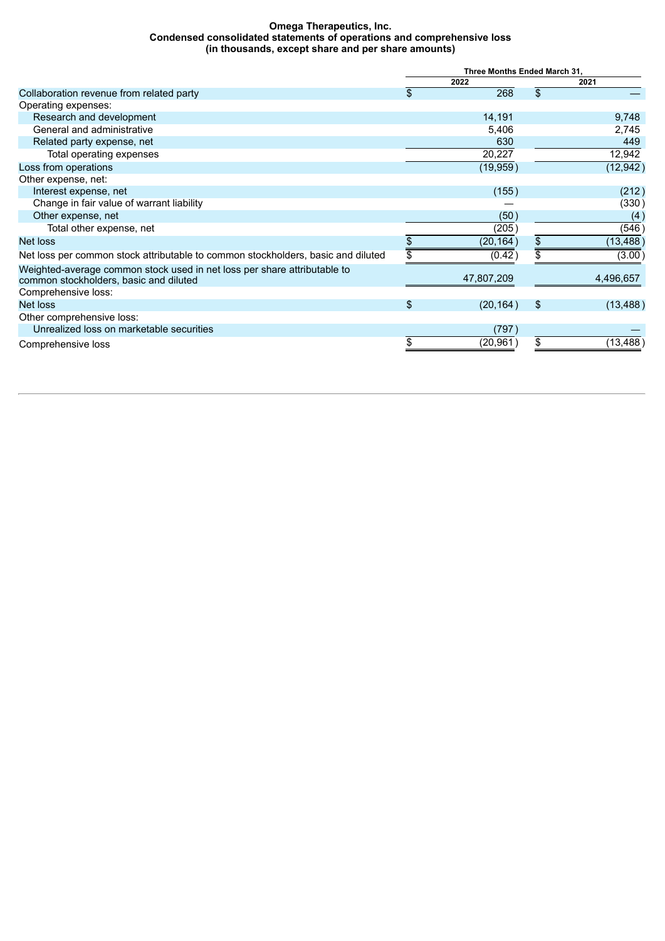#### **Omega Therapeutics, Inc. Condensed consolidated statements of operations and comprehensive loss (in thousands, except share and per share amounts)**

|                                                                                                                    | Three Months Ended March 31, |            |      |           |  |
|--------------------------------------------------------------------------------------------------------------------|------------------------------|------------|------|-----------|--|
|                                                                                                                    |                              | 2022       | 2021 |           |  |
| Collaboration revenue from related party                                                                           | \$                           | 268        | \$   |           |  |
| Operating expenses:                                                                                                |                              |            |      |           |  |
| Research and development                                                                                           |                              | 14,191     |      | 9,748     |  |
| General and administrative                                                                                         |                              | 5,406      |      | 2,745     |  |
| Related party expense, net                                                                                         |                              | 630        |      | 449       |  |
| Total operating expenses                                                                                           |                              | 20,227     |      | 12,942    |  |
| Loss from operations                                                                                               |                              | (19, 959)  |      | (12, 942) |  |
| Other expense, net:                                                                                                |                              |            |      |           |  |
| Interest expense, net                                                                                              |                              | (155)      |      | (212)     |  |
| Change in fair value of warrant liability                                                                          |                              |            |      | (330)     |  |
| Other expense, net                                                                                                 |                              | (50)       |      | (4)       |  |
| Total other expense, net                                                                                           |                              | (205)      |      | (546)     |  |
| Net loss                                                                                                           |                              | (20, 164)  | \$   | (13, 488) |  |
| Net loss per common stock attributable to common stockholders, basic and diluted                                   |                              | (0.42)     |      | (3.00)    |  |
| Weighted-average common stock used in net loss per share attributable to<br>common stockholders, basic and diluted |                              | 47,807,209 |      | 4,496,657 |  |
| Comprehensive loss:                                                                                                |                              |            |      |           |  |
| Net loss                                                                                                           | $\mathfrak{S}$               | (20, 164)  | \$   | (13, 488) |  |
| Other comprehensive loss:                                                                                          |                              |            |      |           |  |
| Unrealized loss on marketable securities                                                                           |                              | (797)      |      |           |  |
| Comprehensive loss                                                                                                 |                              | (20,961)   | \$   | (13,488   |  |